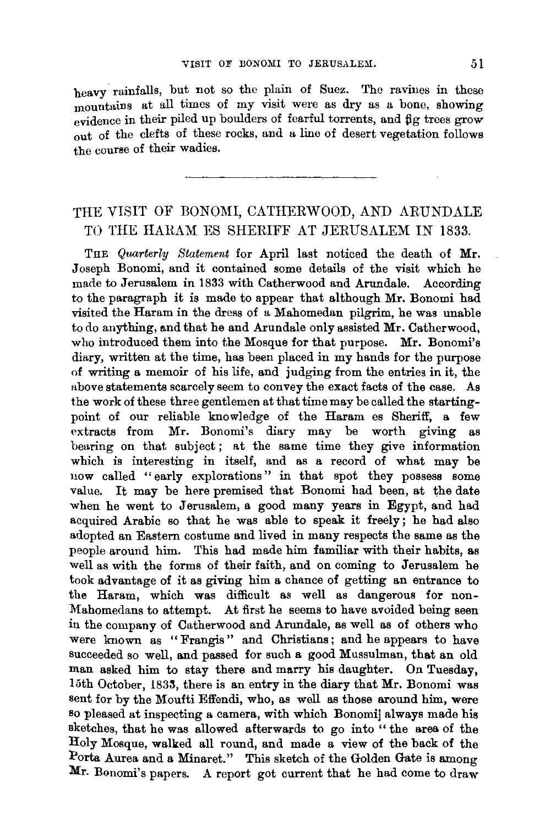heavy. rainfalls, but not so the plain of Suez. The ravines in these mountains at all times of my visit were as dry as a bone, showing evidence in their piled up boulders of fearful torrents, and fig trees grow out of the clefts of these rocks, and a line of desert vegetation follows the course of their wadies.

## THE VISIT OF BONOMI, CATHERWOOD, AND ARUNDALE TO THE HARAM ES SHERIFF AT JERUSALEM IN 1833.

THE *Quarterly Statement* for April last noticed the death of Mr. Joseph Bonomi, and it contained some details of the visit which he made to Jerusalem in 1833 with Catherwood and Arundale. According to the paragraph it is made to appear that although Mr. Bonomi had visited the Haram in the dress of a Mahomedan pilgrim, he was unable to do anything, and that he and Arundale only assisted Mr. Catherwood, who introduced them into the Mosque for that purpose. Mr. Bonomi's diary, written at the time, has been placed in my hands for the purpose of writing a memoir of his life, and judging from the entries in it, the above statements scarcely seem to convey the exact facts of the case. As the work of these three gentlemen at that time may be called the startingpoint of our reliable knowledge of the Haram es Sheriff, a few extracts from Mr. Bonomi's diary may be worth giving as bearing on that subject; at the same time they give information which is interesting in itself, and as a record of what may be now called "early explorations" in that spot they possess some value. It may be here premised that Bonomi had been, at the date when he went to Jerusalem, a good many years in Egypt, and had acquired Arabic so that he was able to speak it freely; he had also adopted an Eastern costume and lived in many respects the same as the people around him. This had made him familiar with their habits, as well as with the forms of their faith, and on coming to Jerusalem he took advantage of it as giving him a chance of getting an entrance to the Haram, which was difficult as well as dangerous for non-Mahomedans to attempt. At first he seems to have avoided being seen in the company of Catherwood and Arundale, as well as of others who were known as "Frangis" and Christians; and he appears to have succeeded so well, and passed for such a good Mussulman, that an old man asked him to stay there and marry his daughter. On Tuesday, 15th October, 1833, there is an entry in the diary that Mr. Bonomi was sent for by the Moufti Effendi, who, as well as those around him, were so pleased at inspecting a camera, with which Bonomi] always made his aketches, that he was allowed afterwards to go into "the area of the Holy Mosque, walked all round, and made a view of the back of the Porta Aurea and a Minaret." This sketch of the Golden Gate is among Mr. Bonomi's papers. A report got current that he had come to draw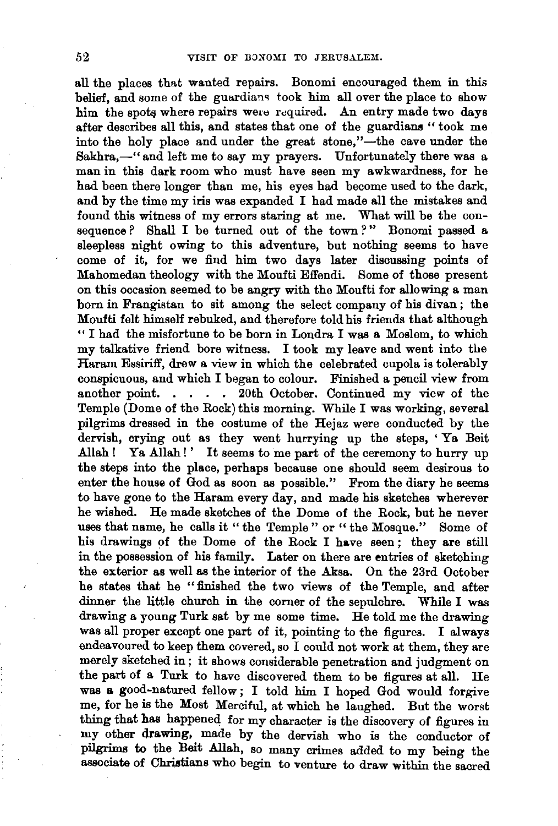all the places that wanted repairs. Bonomi encouraged them in this belief, and some of the guardians took him all over the place to show him the spots where repairs were required. An entry made two days after describes all this, and states that one of the guardians " took me into the holy place and under the great stone,"-the cave under the Sakhra,-" and left me to say my prayers. Unfortunately there was a man in this dark room who must have seen my awkwardness, for he had been there longer than me, his eyes had become used to the dark, and by the time my iris was expanded I had made all the mistakes and found this witness of my errors staring at me. What will be the consequence? Shall I be turned out of the town?" Bonomi passed a sleepless night owing to this adventure, but nothing seems to have come of it, for we find him two days later discussing points of Mahomedan theology with the Moufti Effendi. Some of those present on this occasion seemed to be angry with the Moufti for allowing a man born in Frangistan to sit among the select company of his divan ; the Moufti felt himself rebuked, and therefore told his friends that although " I had the misfortune to be born in Londra I was a Moslem, to which my talkative friend bore witness. I took my leave and went into the Haram Essiriff, drew a view in which the celebrated cupola is tolerably conspicuous, and which I began to colour. Finished a pencil view from another point. . . . 20th October. Continued my view of the Temple (Dome of the Rock) this morning. While I was working, several pilgrims dressed in the costume of the Hejaz were conducted by the dervish, crying out as they went hurrying up the steps, ' Ya Beit Allah! Ya Allah!' It seems to me part of the ceremony to hurry up the steps into the place, perhaps because one should seem desirous to enter the house of God as soon as possible." From the diary he seems to have gone to the Haram every day, and made his sketches wherever he wished. He made sketches of the Dome of the Rock, but he never uses that name, he calls it "the Temple" or "the Mosque." Some of his drawings of the Dome of the Rock I have seen; they are still in the possession of his family. Later on there are entries of sketching the exterior as well as the interior of the Aksa. On the 23rd October he states that he " finished the two views of the Temple, and after dinner the little church in the corner of the sepulchre. While I was drawing a young Turk sat by me some time. He told me the drawing was all proper except one part of it, pointing to the figures. I always endeavoured to keep them covered, so I could not work at them, they are merely sketched in; it shows considerable penetration and judgment on the part of a Turk to have discovered them to be figures at all. He was a good-natured fellow; I told him I hoped God would forgive me, for he is the Most Merciful, at which he laughed. But the worst thing that has happened for my character is the discovery of figures in my other drawing, made by the dervish who is the conductor of pilgrims to the Beit Allah, so many crimes added to my being the associate of Christians who begin to venture to draw within the sacred